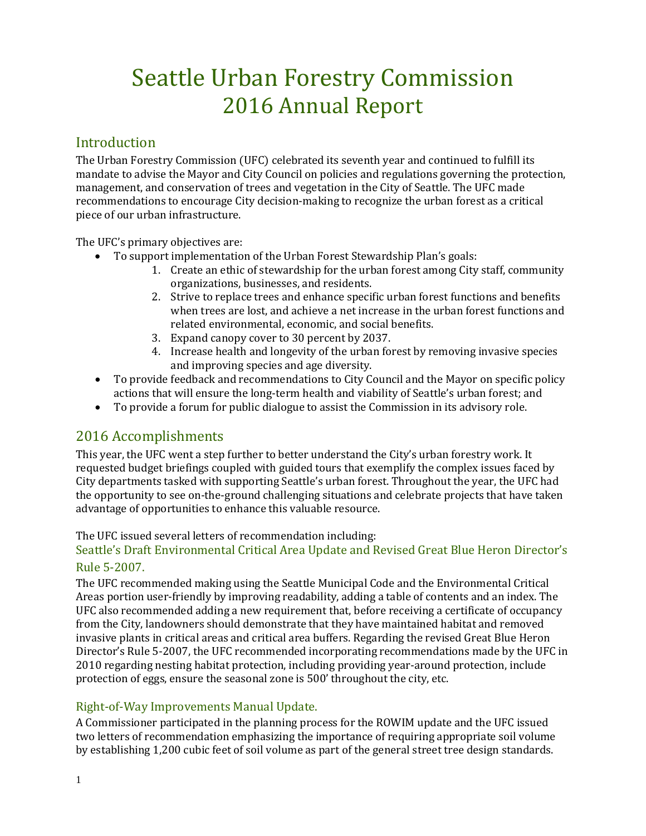# Seattle Urban Forestry Commission 2016 Annual Report

# Introduction

The Urban Forestry Commission (UFC) celebrated its seventh year and continued to fulfill its mandate to advise the Mayor and City Council on policies and regulations governing the protection, management, and conservation of trees and vegetation in the City of Seattle. The UFC made recommendations to encourage City decision-making to recognize the urban forest as a critical piece of our urban infrastructure.

The UFC's primary objectives are:

- To support implementation of the Urban Forest Stewardship Plan's goals:
	- 1. Create an ethic of stewardship for the urban forest among City staff, community organizations, businesses, and residents.
	- 2. Strive to replace trees and enhance specific urban forest functions and benefits when trees are lost, and achieve a net increase in the urban forest functions and related environmental, economic, and social benefits.
	- 3. Expand canopy cover to 30 percent by 2037.
	- 4. Increase health and longevity of the urban forest by removing invasive species and improving species and age diversity.
- To provide feedback and recommendations to City Council and the Mayor on specific policy actions that will ensure the long-term health and viability of Seattle's urban forest; and
- To provide a forum for public dialogue to assist the Commission in its advisory role.

# 2016 Accomplishments

This year, the UFC went a step further to better understand the City's urban forestry work. It requested budget briefings coupled with guided tours that exemplify the complex issues faced by City departments tasked with supporting Seattle's urban forest. Throughout the year, the UFC had the opportunity to see on-the-ground challenging situations and celebrate projects that have taken advantage of opportunities to enhance this valuable resource.

#### The UFC issued several letters of recommendation including:

## Seattle's Draft Environmental Critical Area Update and Revised Great Blue Heron Director's Rule 5-2007.

The UFC recommended making using the Seattle Municipal Code and the Environmental Critical Areas portion user-friendly by improving readability, adding a table of contents and an index. The UFC also recommended adding a new requirement that, before receiving a certificate of occupancy from the City, landowners should demonstrate that they have maintained habitat and removed invasive plants in critical areas and critical area buffers. Regarding the revised Great Blue Heron Director's Rule 5-2007, the UFC recommended incorporating recommendations made by the UFC in 2010 regarding nesting habitat protection, including providing year-around protection, include protection of eggs, ensure the seasonal zone is 500' throughout the city, etc.

## Right-of-Way Improvements Manual Update.

A Commissioner participated in the planning process for the ROWIM update and the UFC issued two letters of recommendation emphasizing the importance of requiring appropriate soil volume by establishing 1,200 cubic feet of soil volume as part of the general street tree design standards.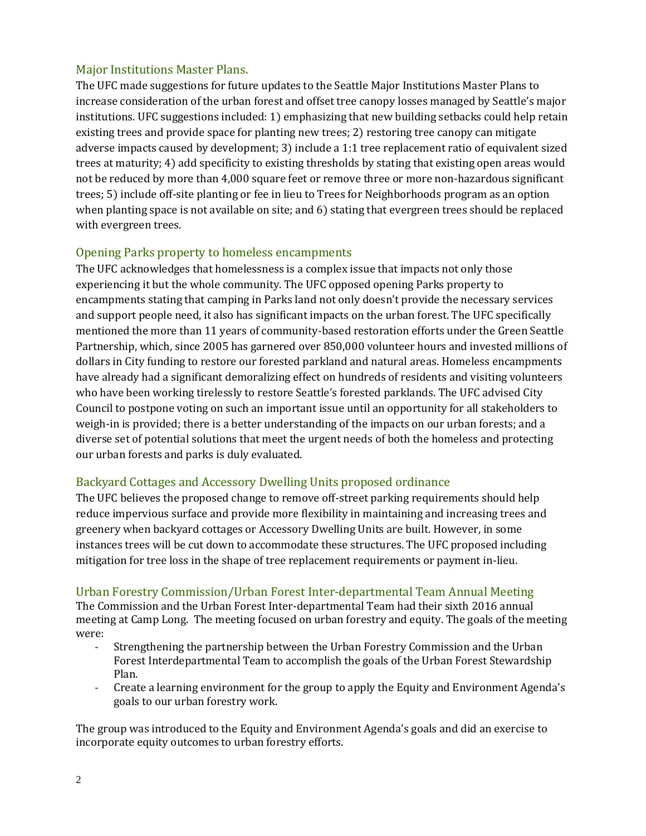## Major Institutions Master Plans.

The UFC made suggestions for future updates to the Seattle Major Institutions Master Plans to increase consideration of the urban forest and offset tree canopy losses managed by Seattle's major institutions. UFC suggestions included: 1) emphasizing that new building setbacks could help retain existing trees and provide space for planting new trees; 2) restoring tree canopy can mitigate adverse impacts caused by development; 3) include a 1:1 tree replacement ratio of equivalent sized trees at maturity; 4) add specificity to existing thresholds by stating that existing open areas would not be reduced by more than 4,000 square feet or remove three or more non-hazardous significant trees; 5) include off-site planting or fee in lieu to Trees for Neighborhoods program as an option when planting space is not available on site; and 6) stating that evergreen trees should be replaced with evergreen trees.

## Opening Parks property to homeless encampments

The UFC acknowledges that homelessness is a complex issue that impacts not only those experiencing it but the whole community. The UFC opposed opening Parks property to encampments stating that camping in Parks land not only doesn't provide the necessary services and support people need, it also has significant impacts on the urban forest. The UFC specifically mentioned the more than 11 years of community-based restoration efforts under the Green Seattle Partnership, which, since 2005 has garnered over 850,000 volunteer hours and invested millions of dollars in City funding to restore our forested parkland and natural areas. Homeless encampments have already had a significant demoralizing effect on hundreds of residents and visiting volunteers who have been working tirelessly to restore Seattle's forested parklands. The UFC advised City Council to postpone voting on such an important issue until an opportunity for all stakeholders to weigh-in is provided; there is a better understanding of the impacts on our urban forests; and a diverse set of potential solutions that meet the urgent needs of both the homeless and protecting our urban forests and parks is duly evaluated.

## Backyard Cottages and Accessory Dwelling Units proposed ordinance

The UFC believes the proposed change to remove off-street parking requirements should help reduce impervious surface and provide more flexibility in maintaining and increasing trees and greenery when backyard cottages or Accessory Dwelling Units are built. However, in some instances trees will be cut down to accommodate these structures. The UFC proposed including mitigation for tree loss in the shape of tree replacement requirements or payment in-lieu.

## Urban Forestry Commission/Urban Forest Inter-departmental Team Annual Meeting

The Commission and the Urban Forest Inter-departmental Team had their sixth 2016 annual meeting at Camp Long. The meeting focused on urban forestry and equity. The goals of the meeting were:

- Strengthening the partnership between the Urban Forestry Commission and the Urban Forest Interdepartmental Team to accomplish the goals of the Urban Forest Stewardship Plan.
- Create a learning environment for the group to apply the Equity and Environment Agenda's goals to our urban forestry work.

The group was introduced to the Equity and Environment Agenda's goals and did an exercise to incorporate equity outcomes to urban forestry efforts.